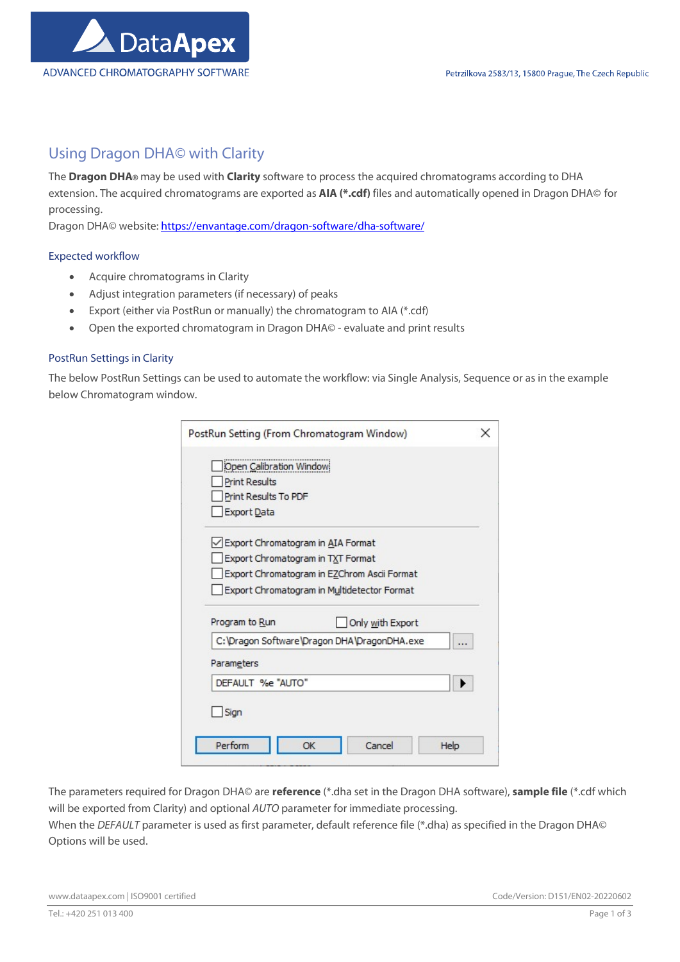

## Using Dragon DHA© with Clarity

The Dragon DHA® may be used with Clarity software to process the acquired chromatograms according to DHA extension. The acquired chromatograms are exported as AIA (\*.cdf) files and automatically opened in Dragon DHA© for processing.

Dragon DHA© website: https://envantage.com/dragon-software/dha-software/

## Expected workflow

- Acquire chromatograms in Clarity
- Adjust integration parameters (if necessary) of peaks
- Export (either via PostRun or manually) the chromatogram to AIA (\*.cdf)
- Open the exported chromatogram in Dragon DHA© evaluate and print results

## PostRun Settings in Clarity

The below PostRun Settings can be used to automate the workflow: via Single Analysis, Sequence or as in the example below Chromatogram window.

| PostRun Setting (From Chromatogram Window)              |  |
|---------------------------------------------------------|--|
| Open Calibration Window                                 |  |
| <b>Print Results</b><br>Print Results To PDF            |  |
| Export Data                                             |  |
| Export Chromatogram in AIA Format                       |  |
| Export Chromatogram in TXT Format                       |  |
| Export Chromatogram in EZChrom Ascii Format             |  |
| Export Chromatogram in Multidetector Format             |  |
| Program to Run<br>Only with Export                      |  |
| C:\Dragon Software\Dragon DHA\DragonDHA.exe<br>$\cdots$ |  |
| Parameters                                              |  |
| DEFAULT %e "AUTO"                                       |  |
| Sign<br>Perform<br>Cancel<br>OK                         |  |
| Help                                                    |  |

The parameters required for Dragon DHA© are reference (\*.dha set in the Dragon DHA software), sample file (\*.cdf which will be exported from Clarity) and optional AUTO parameter for immediate processing.

When the DEFAULT parameter is used as first parameter, default reference file (\*.dha) as specified in the Dragon DHA© Options will be used.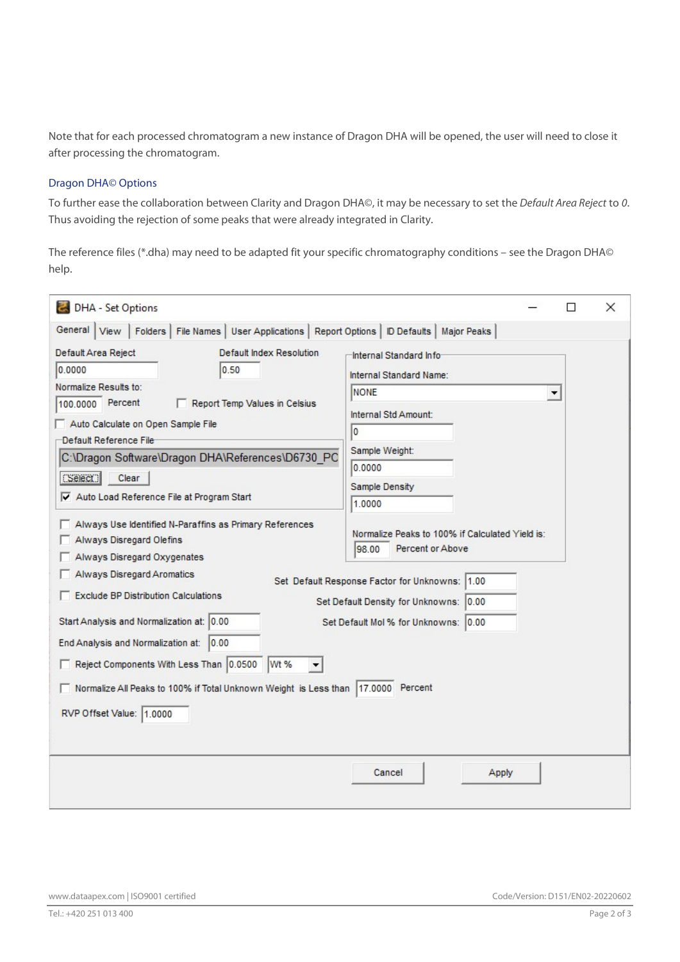Note that for each processed chromatogram a new instance of Dragon DHA will be opened, the user will need to close it after processing the chromatogram.

## Dragon DHA© Options

To further ease the collaboration between Clarity and Dragon DHA©, it may be necessary to set the Default Area Reject to 0. Thus avoiding the rejection of some peaks that were already integrated in Clarity.

The reference files (\*.dha) may need to be adapted fit your specific chromatography conditions – see the Dragon DHA© help.

| DHA - Set Options                                                                                                                                                                                                                                                                                                                                                                                                                                                                                                                                                                                                                                                                                               |                                                                                                                                                                                                                                                                                                                                                                             |   | П | × |
|-----------------------------------------------------------------------------------------------------------------------------------------------------------------------------------------------------------------------------------------------------------------------------------------------------------------------------------------------------------------------------------------------------------------------------------------------------------------------------------------------------------------------------------------------------------------------------------------------------------------------------------------------------------------------------------------------------------------|-----------------------------------------------------------------------------------------------------------------------------------------------------------------------------------------------------------------------------------------------------------------------------------------------------------------------------------------------------------------------------|---|---|---|
| Folders   File Names   User Applications   Report Options   ID Defaults   Major Peaks<br>General   View                                                                                                                                                                                                                                                                                                                                                                                                                                                                                                                                                                                                         |                                                                                                                                                                                                                                                                                                                                                                             |   |   |   |
| Default Area Reject<br>Default Index Resolution<br>0.0000<br>0.50<br>Normalize Results to:<br>100.0000 Percent<br>Report Temp Values in Celsius<br>Auto Calculate on Open Sample File<br>Default Reference File<br>C:\Dragon Software\Dragon DHA\References\D6730 PC<br>S <sub>elect</sub><br>Clear<br>Auto Load Reference File at Program Start<br>Always Use Identified N-Paraffins as Primary References<br><b>Always Disregard Olefins</b><br>Always Disregard Oxygenates<br>Always Disregard Aromatics<br><b>Exclude BP Distribution Calculations</b><br>Start Analysis and Normalization at: 0.00<br>End Analysis and Normalization at:<br> 0.00 <br>Reject Components With Less Than 0.0500<br>Wt %<br>▼ | Internal Standard Info-<br>Internal Standard Name:<br><b>NONE</b><br>Internal Std Amount:<br>I٥<br>Sample Weight:<br>0.0000<br>Sample Density<br>1.0000<br>Normalize Peaks to 100% if Calculated Yield is:<br>Percent or Above<br>98.00<br>Set Default Response Factor for Unknowns: 1.00<br>Set Default Density for Unknowns: 0.00<br>Set Default Mol % for Unknowns: 0.00 | ▼ |   |   |
| Normalize All Peaks to 100% if Total Unknown Weight is Less than  17.0000 Percent                                                                                                                                                                                                                                                                                                                                                                                                                                                                                                                                                                                                                               |                                                                                                                                                                                                                                                                                                                                                                             |   |   |   |
| RVP Offset Value: 1.0000                                                                                                                                                                                                                                                                                                                                                                                                                                                                                                                                                                                                                                                                                        |                                                                                                                                                                                                                                                                                                                                                                             |   |   |   |
|                                                                                                                                                                                                                                                                                                                                                                                                                                                                                                                                                                                                                                                                                                                 | Cancel<br>Apply                                                                                                                                                                                                                                                                                                                                                             |   |   |   |